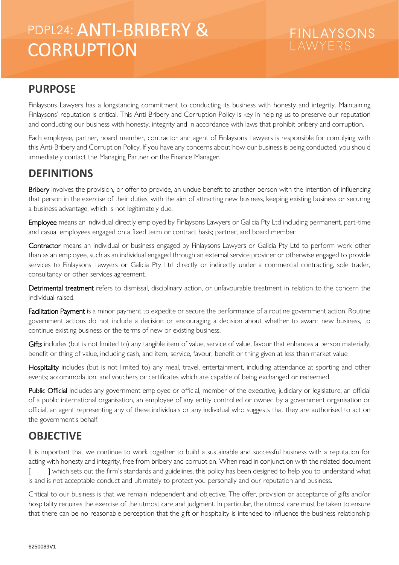# PDPL24: ANTI-BRIBERY & CONNUMER **CORRUPTION**

# **FINLAYSONS**

#### **PURPOSE**

Finlaysons Lawyers has a longstanding commitment to conducting its business with honesty and integrity. Maintaining Finlaysons' reputation is critical. This Anti-Bribery and Corruption Policy is key in helping us to preserve our reputation and conducting our business with honesty, integrity and in accordance with laws that prohibit bribery and corruption.

Each employee, partner, board member, contractor and agent of Finlaysons Lawyers is responsible for complying with this Anti-Bribery and Corruption Policy. If you have any concerns about how our business is being conducted, you should immediately contact the Managing Partner or the Finance Manager.

#### **DEFINITIONS**

Bribery involves the provision, or offer to provide, an undue benefit to another person with the intention of influencing that person in the exercise of their duties, with the aim of attracting new business, keeping existing business or securing a business advantage, which is not legitimately due.

Employee means an individual directly employed by Finlaysons Lawyers or Galicia Pty Ltd including permanent, part-time and casual employees engaged on a fixed term or contract basis; partner, and board member

Contractor means an individual or business engaged by Finlaysons Lawyers or Galicia Pty Ltd to perform work other than as an employee, such as an individual engaged through an external service provider or otherwise engaged to provide services to Finlaysons Lawyers or Galicia Pty Ltd directly or indirectly under a commercial contracting, sole trader, consultancy or other services agreement.

Detrimental treatment refers to dismissal, disciplinary action, or unfavourable treatment in relation to the concern the individual raised.

Facilitation Payment is a minor payment to expedite or secure the performance of a routine government action. Routine government actions do not include a decision or encouraging a decision about whether to award new business, to continue existing business or the terms of new or existing business.

Gifts includes (but is not limited to) any tangible item of value, service of value, favour that enhances a person materially, benefit or thing of value, including cash, and item, service, favour, benefit or thing given at less than market value

Hospitality includes (but is not limited to) any meal, travel, entertainment, including attendance at sporting and other events; accommodation, and vouchers or certificates which are capable of being exchanged or redeemed

Public Official includes any government employee or official, member of the executive, judiciary or legislature, an official of a public international organisation, an employee of any entity controlled or owned by a government organisation or official, an agent representing any of these individuals or any individual who suggests that they are authorised to act on the government's behalf.

### **OBJECTIVE**

It is important that we continue to work together to build a sustainable and successful business with a reputation for acting with honesty and integrity, free from bribery and corruption. When read in conjunction with the related document [ ] which sets out the firm's standards and guidelines, this policy has been designed to help you to understand what is and is not acceptable conduct and ultimately to protect you personally and our reputation and business.

Critical to our business is that we remain independent and objective. The offer, provision or acceptance of gifts and/or hospitality requires the exercise of the utmost care and judgment. In particular, the utmost care must be taken to ensure that there can be no reasonable perception that the gift or hospitality is intended to influence the business relationship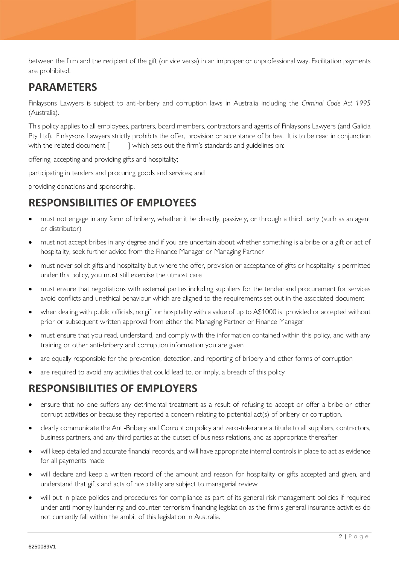between the firm and the recipient of the gift (or vice versa) in an improper or unprofessional way. Facilitation payments are prohibited.

#### **PARAMETERS**

Finlaysons Lawyers is subject to anti-bribery and corruption laws in Australia including the *Criminal Code Act 1995* (Australia).

This policy applies to all employees, partners, board members, contractors and agents of Finlaysons Lawyers (and Galicia Pty Ltd). Finlaysons Lawyers strictly prohibits the offer, provision or acceptance of bribes. It is to be read in conjunction with the related document [ ] which sets out the firm's standards and guidelines on:

offering, accepting and providing gifts and hospitality;

participating in tenders and procuring goods and services; and

providing donations and sponsorship.

### **RESPONSIBILITIES OF EMPLOYEES**

- must not engage in any form of bribery, whether it be directly, passively, or through a third party (such as an agent or distributor)
- must not accept bribes in any degree and if you are uncertain about whether something is a bribe or a gift or act of hospitality, seek further advice from the Finance Manager or Managing Partner
- must never solicit gifts and hospitality but where the offer, provision or acceptance of gifts or hospitality is permitted under this policy, you must still exercise the utmost care
- must ensure that negotiations with external parties including suppliers for the tender and procurement for services avoid conflicts and unethical behaviour which are aligned to the requirements set out in the associated document
- when dealing with public officials, no gift or hospitality with a value of up to A\$1000 is provided or accepted without prior or subsequent written approval from either the Managing Partner or Finance Manager
- must ensure that you read, understand, and comply with the information contained within this policy, and with any training or other anti-bribery and corruption information you are given
- are equally responsible for the prevention, detection, and reporting of bribery and other forms of corruption
- are required to avoid any activities that could lead to, or imply, a breach of this policy

#### **RESPONSIBILITIES OF EMPLOYERS**

- ensure that no one suffers any detrimental treatment as a result of refusing to accept or offer a bribe or other corrupt activities or because they reported a concern relating to potential act(s) of bribery or corruption.
- clearly communicate the Anti-Bribery and Corruption policy and zero-tolerance attitude to all suppliers, contractors, business partners, and any third parties at the outset of business relations, and as appropriate thereafter
- will keep detailed and accurate financial records, and will have appropriate internal controls in place to act as evidence for all payments made
- will declare and keep a written record of the amount and reason for hospitality or gifts accepted and given, and understand that gifts and acts of hospitality are subject to managerial review
- will put in place policies and procedures for compliance as part of its general risk management policies if required under anti-money laundering and counter-terrorism financing legislation as the firm's general insurance activities do not currently fall within the ambit of this legislation in Australia.